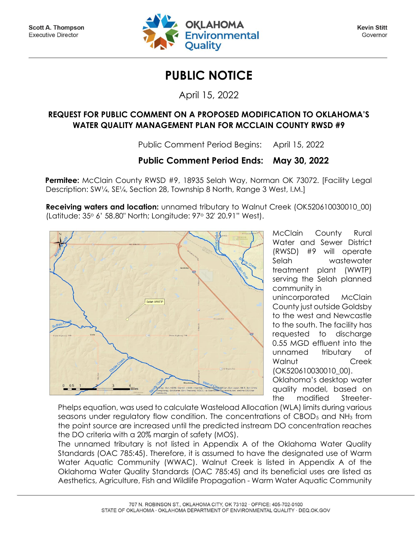

**Kevin Stitt** Governor

## **PUBLIC NOTICE**

April 15, 2022

## **REQUEST FOR PUBLIC COMMENT ON A PROPOSED MODIFICATION TO OKLAHOMA'S WATER QUALITY MANAGEMENT PLAN FOR MCCLAIN COUNTY RWSD #9**

Public Comment Period Begins: April 15, 2022

## **Public Comment Period Ends: May 30, 2022**

**Permitee:** McClain County RWSD #9, 18935 Selah Way, Norman OK 73072. [Facility Legal Description: SW¼, SE¼, Section 28, Township 8 North, Range 3 West, I.M.]

**Receiving waters and location:** unnamed tributary to Walnut Creek (OK520610030010\_00) (Latitude: 35<sup>o</sup> 6' 58.80" North; Longitude: 97<sup>o</sup> 32' 20.91" West).



McClain County Rural Water and Sewer District (RWSD) #9 will operate Selah wastewater treatment plant (WWTP) serving the Selah planned community in

unincorporated McClain County just outside Goldsby to the west and Newcastle to the south. The facility has requested to discharge 0.55 MGD effluent into the unnamed tributary of Walnut Creek (OK520610030010\_00).

Oklahoma's desktop water quality model, based on the modified Streeter-

Phelps equation, was used to calculate Wasteload Allocation (WLA) limits during various seasons under regulatory flow condition. The concentrations of CBOD<sub>5</sub> and NH<sub>3</sub> from the point source are increased until the predicted instream DO concentration reaches the DO criteria with a 20% margin of safety (MOS).

The unnamed tributary is not listed in Appendix A of the Oklahoma Water Quality Standards (OAC 785:45). Therefore, it is assumed to have the designated use of Warm Water Aquatic Community (WWAC). Walnut Creek is listed in Appendix A of the Oklahoma Water Quality Standards (OAC 785:45) and its beneficial uses are listed as Aesthetics, Agriculture, Fish and Wildlife Propagation - Warm Water Aquatic Community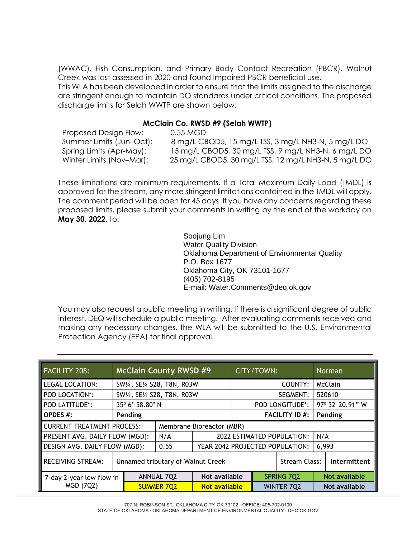(WWAC), Fish Consumption, and Primary Body Contact Recreation (PBCR). Walnut Creek was last assessed in 2020 and found impaired PBCR beneficial use.

This WLA has been developed in order to ensure that the limits assigned to the discharge are stringent enough to maintain DO standards under critical conditions. The proposed discharge limits for Selah WWTP are shown below:

## **McClain Co. RWSD #9 (Selah WWTP)**

| Proposed Design Flow:    | 0.55 MGD                                             |
|--------------------------|------------------------------------------------------|
| Summer Limits (Jun-Oct): | 8 mg/L CBOD5, 15 mg/L TSS, 3 mg/L NH3-N, 5 mg/L DO   |
| Spring Limits (Apr-May): | 15 mg/L CBOD5, 30 mg/L TSS, 9 mg/L NH3-N, 6 mg/L DO  |
| Winter Limits (Nov-Mar): | 25 mg/L CBOD5, 30 mg/L TSS, 12 mg/L NH3-N, 5 mg/L DO |

These limitations are minimum requirements. If a Total Maximum Daily Load (TMDL) is approved for the stream, any more stringent limitations contained in the TMDL will apply. The comment period will be open for 45 days. If you have any concerns regarding these proposed limits, please submit your comments in writing by the end of the workday on **May 30, 2022,** to:

> Soojung Lim Water Quality Division Oklahoma Department of Environmental Quality P.O. Box 1677 Oklahoma City, OK 73101-1677 (405) 702-8195 E-mail: Water.Comments@deq.ok.gov

You may also request a public meeting in writing. If there is a significant degree of public interest, DEQ will schedule a public meeting. After evaluating comments received and making any necessary changes, the WLA will be submitted to the U.S. Environmental Protection Agency (EPA) for final approval.

| <b>FACILITY 208:</b>                                           | <b>McClain County RWSD #9</b>     | CITY/TOWN:        |  |                                   | <b>Norman</b>         |                  |               |  |
|----------------------------------------------------------------|-----------------------------------|-------------------|--|-----------------------------------|-----------------------|------------------|---------------|--|
| <b>LEGAL LOCATION:</b>                                         | SW1/4, SE1/4 S28, T8N, R03W       |                   |  | COUNTY:                           |                       |                  | McClain       |  |
| POD LOCATION*:                                                 | SW1/4, SE1/4 S28, T8N, R03W       |                   |  | <b>SEGMENT:</b>                   |                       | 520610           |               |  |
| <b>POD LATITUDE*:</b>                                          | 35° 6' 58.80" N                   |                   |  | <b>POD LONGITUDE*:</b>            |                       | 97° 32' 20.91" W |               |  |
| <b>OPDES #:</b>                                                | Pending                           |                   |  |                                   | <b>FACILITY ID #:</b> |                  | Pending       |  |
| <b>CURRENT TREATMENT PROCESS:</b><br>Membrane Bioreactor (MBR) |                                   |                   |  |                                   |                       |                  |               |  |
| PRESENT AVG. DAILY FLOW (MGD):<br>N/A                          |                                   |                   |  | <b>2022 ESTIMATED POPULATION:</b> |                       |                  | N/A           |  |
| DESIGN AVG. DAILY FLOW (MGD):<br>0.55                          |                                   |                   |  | YEAR 2042 PROJECTED POPULATION:   |                       |                  | 6,993         |  |
| <b>RECEIVING STREAM:</b>                                       | Unnamed tributary of Walnut Creek |                   |  | Stream Class:                     |                       |                  | Intermittent  |  |
| 7-day 2-year low flow in                                       |                                   | <b>ANNUAL 7Q2</b> |  | Not available                     | SPRING 7Q2            |                  | Not available |  |
| <b>MGD (7Q2)</b>                                               |                                   | <b>SUMMER 7Q2</b> |  | <b>Not available</b>              | <b>WINTER 7Q2</b>     |                  | Not available |  |